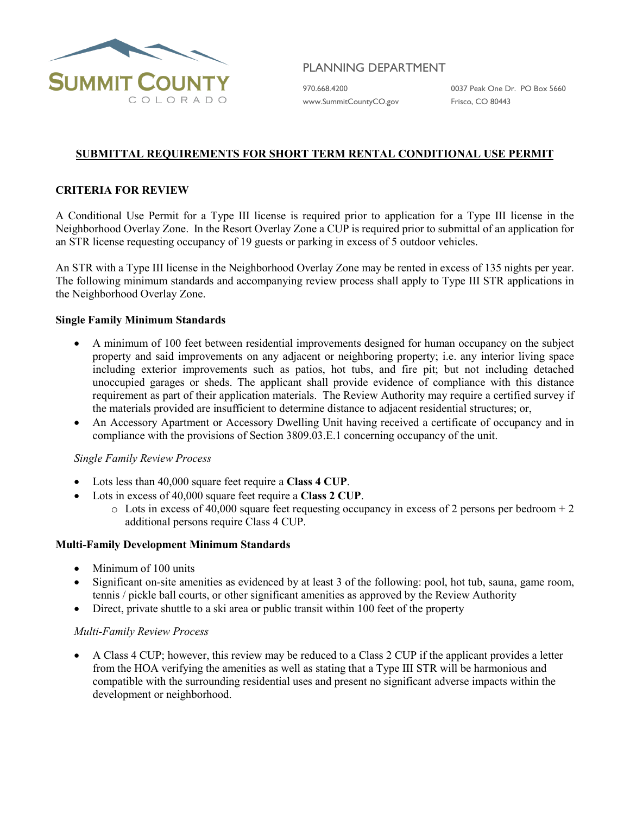

# PLANNING DEPARTMENT

[www.SummitCountyCO.gov](http://www.summitcountyco.gov/) Frisco, CO 80443

970.668.4200 0037 Peak One Dr. PO Box 5660

# **SUBMITTAL REQUIREMENTS FOR SHORT TERM RENTAL CONDITIONAL USE PERMIT**

# **CRITERIA FOR REVIEW**

A Conditional Use Permit for a Type III license is required prior to application for a Type III license in the Neighborhood Overlay Zone. In the Resort Overlay Zone a CUP is required prior to submittal of an application for an STR license requesting occupancy of 19 guests or parking in excess of 5 outdoor vehicles.

An STR with a Type III license in the Neighborhood Overlay Zone may be rented in excess of 135 nights per year. The following minimum standards and accompanying review process shall apply to Type III STR applications in the Neighborhood Overlay Zone.

#### **Single Family Minimum Standards**

- A minimum of 100 feet between residential improvements designed for human occupancy on the subject property and said improvements on any adjacent or neighboring property; i.e. any interior living space including exterior improvements such as patios, hot tubs, and fire pit; but not including detached unoccupied garages or sheds. The applicant shall provide evidence of compliance with this distance requirement as part of their application materials. The Review Authority may require a certified survey if the materials provided are insufficient to determine distance to adjacent residential structures; or,
- An Accessory Apartment or Accessory Dwelling Unit having received a certificate of occupancy and in compliance with the provisions of Section 3809.03.E.1 concerning occupancy of the unit.

#### *Single Family Review Process*

- Lots less than 40,000 square feet require a **Class 4 CUP**.
- Lots in excess of 40,000 square feet require a **Class 2 CUP**.
	- $\circ$  Lots in excess of 40,000 square feet requesting occupancy in excess of 2 persons per bedroom + 2 additional persons require Class 4 CUP.

#### **Multi-Family Development Minimum Standards**

- Minimum of 100 units
- Significant on-site amenities as evidenced by at least 3 of the following: pool, hot tub, sauna, game room, tennis / pickle ball courts, or other significant amenities as approved by the Review Authority
- Direct, private shuttle to a ski area or public transit within 100 feet of the property

#### *Multi-Family Review Process*

• A Class 4 CUP; however, this review may be reduced to a Class 2 CUP if the applicant provides a letter from the HOA verifying the amenities as well as stating that a Type III STR will be harmonious and compatible with the surrounding residential uses and present no significant adverse impacts within the development or neighborhood.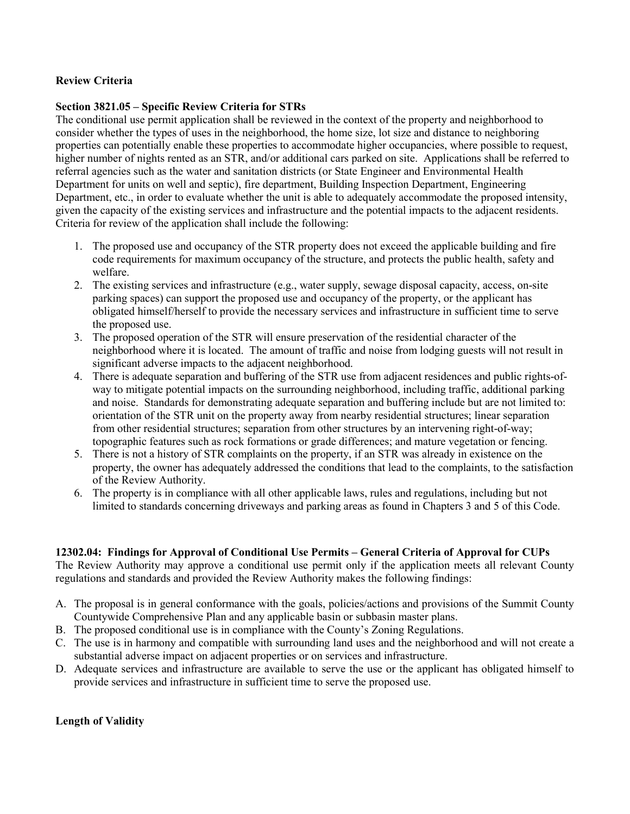# **Review Criteria**

### **Section 3821.05 – Specific Review Criteria for STRs**

The conditional use permit application shall be reviewed in the context of the property and neighborhood to consider whether the types of uses in the neighborhood, the home size, lot size and distance to neighboring properties can potentially enable these properties to accommodate higher occupancies, where possible to request, higher number of nights rented as an STR, and/or additional cars parked on site. Applications shall be referred to referral agencies such as the water and sanitation districts (or State Engineer and Environmental Health Department for units on well and septic), fire department, Building Inspection Department, Engineering Department, etc., in order to evaluate whether the unit is able to adequately accommodate the proposed intensity, given the capacity of the existing services and infrastructure and the potential impacts to the adjacent residents. Criteria for review of the application shall include the following:

- 1. The proposed use and occupancy of the STR property does not exceed the applicable building and fire code requirements for maximum occupancy of the structure, and protects the public health, safety and welfare.
- 2. The existing services and infrastructure (e.g., water supply, sewage disposal capacity, access, on-site parking spaces) can support the proposed use and occupancy of the property, or the applicant has obligated himself/herself to provide the necessary services and infrastructure in sufficient time to serve the proposed use.
- 3. The proposed operation of the STR will ensure preservation of the residential character of the neighborhood where it is located. The amount of traffic and noise from lodging guests will not result in significant adverse impacts to the adjacent neighborhood.
- 4. There is adequate separation and buffering of the STR use from adjacent residences and public rights-ofway to mitigate potential impacts on the surrounding neighborhood, including traffic, additional parking and noise. Standards for demonstrating adequate separation and buffering include but are not limited to: orientation of the STR unit on the property away from nearby residential structures; linear separation from other residential structures; separation from other structures by an intervening right-of-way; topographic features such as rock formations or grade differences; and mature vegetation or fencing.
- 5. There is not a history of STR complaints on the property, if an STR was already in existence on the property, the owner has adequately addressed the conditions that lead to the complaints, to the satisfaction of the Review Authority.
- 6. The property is in compliance with all other applicable laws, rules and regulations, including but not limited to standards concerning driveways and parking areas as found in Chapters 3 and 5 of this Code.

#### **12302.04: Findings for Approval of Conditional Use Permits – General Criteria of Approval for CUPs**

The Review Authority may approve a conditional use permit only if the application meets all relevant County regulations and standards and provided the Review Authority makes the following findings:

- A. The proposal is in general conformance with the goals, policies/actions and provisions of the Summit County Countywide Comprehensive Plan and any applicable basin or subbasin master plans.
- B. The proposed conditional use is in compliance with the County's Zoning Regulations.
- C. The use is in harmony and compatible with surrounding land uses and the neighborhood and will not create a substantial adverse impact on adjacent properties or on services and infrastructure.
- D. Adequate services and infrastructure are available to serve the use or the applicant has obligated himself to provide services and infrastructure in sufficient time to serve the proposed use.

# **Length of Validity**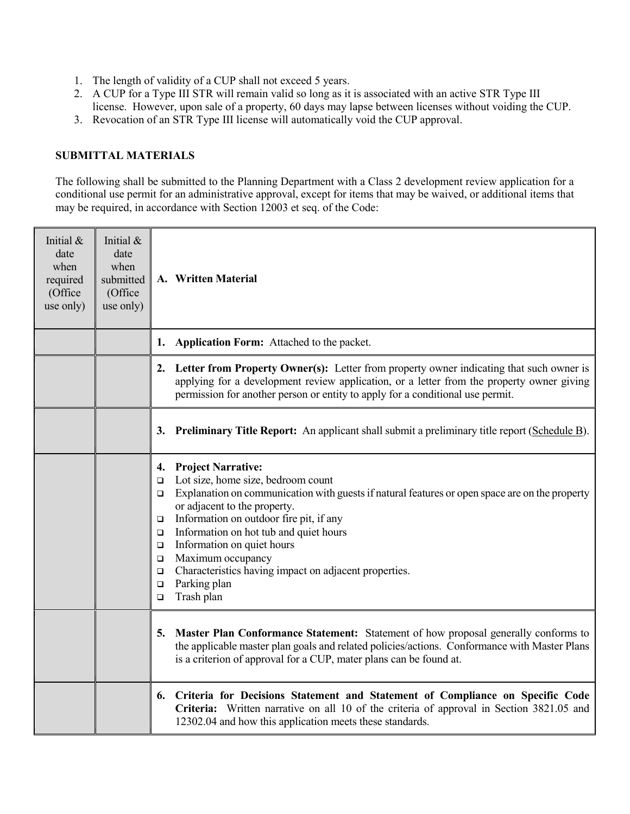- 1. The length of validity of a CUP shall not exceed 5 years.
- 2. A CUP for a Type III STR will remain valid so long as it is associated with an active STR Type III license. However, upon sale of a property, 60 days may lapse between licenses without voiding the CUP.
- 3. Revocation of an STR Type III license will automatically void the CUP approval.

## **SUBMITTAL MATERIALS**

The following shall be submitted to the Planning Department with a Class 2 development review application for a conditional use permit for an administrative approval, except for items that may be waived, or additional items that may be required, in accordance with Section 12003 et seq. of the Code:

| Initial &<br>date<br>when<br>required<br>(Office<br>use only) | Initial &<br>date<br>when<br>submitted<br>(Office<br>use only) | A. Written Material                                                                                                                                                                                                                                                                                                                                                                                                                                                                                                    |
|---------------------------------------------------------------|----------------------------------------------------------------|------------------------------------------------------------------------------------------------------------------------------------------------------------------------------------------------------------------------------------------------------------------------------------------------------------------------------------------------------------------------------------------------------------------------------------------------------------------------------------------------------------------------|
|                                                               |                                                                | Application Form: Attached to the packet.<br>1.                                                                                                                                                                                                                                                                                                                                                                                                                                                                        |
|                                                               |                                                                | 2. Letter from Property Owner(s): Letter from property owner indicating that such owner is<br>applying for a development review application, or a letter from the property owner giving<br>permission for another person or entity to apply for a conditional use permit.                                                                                                                                                                                                                                              |
|                                                               |                                                                | <b>Preliminary Title Report:</b> An applicant shall submit a preliminary title report (Schedule B).<br>3.                                                                                                                                                                                                                                                                                                                                                                                                              |
|                                                               |                                                                | <b>Project Narrative:</b><br>4.<br>Lot size, home size, bedroom count<br>$\Box$<br>Explanation on communication with guests if natural features or open space are on the property<br>$\Box$<br>or adjacent to the property.<br>Information on outdoor fire pit, if any<br>$\Box$<br>Information on hot tub and quiet hours<br>□<br>Information on quiet hours<br>$\Box$<br>Maximum occupancy<br>$\Box$<br>Characteristics having impact on adjacent properties.<br>$\Box$<br>Parking plan<br>□<br>Trash plan<br>$\Box$ |
|                                                               |                                                                | Master Plan Conformance Statement: Statement of how proposal generally conforms to<br>5.<br>the applicable master plan goals and related policies/actions. Conformance with Master Plans<br>is a criterion of approval for a CUP, mater plans can be found at.                                                                                                                                                                                                                                                         |
|                                                               |                                                                | Criteria for Decisions Statement and Statement of Compliance on Specific Code<br>6.<br>Criteria: Written narrative on all 10 of the criteria of approval in Section 3821.05 and<br>12302.04 and how this application meets these standards.                                                                                                                                                                                                                                                                            |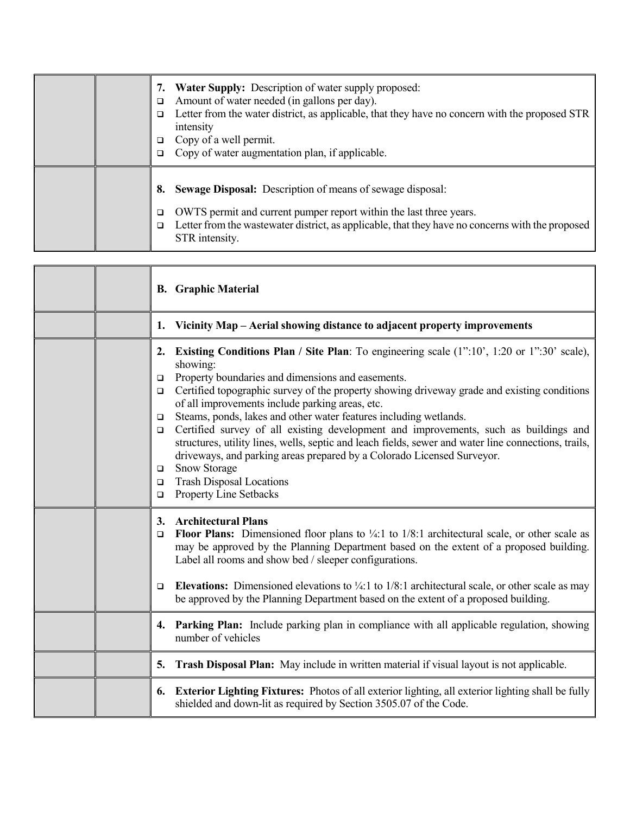|  | <b>Water Supply:</b> Description of water supply proposed:<br>Amount of water needed (in gallons per day).<br>◻<br>Letter from the water district, as applicable, that they have no concern with the proposed STR<br>□<br>intensity<br>Copy of a well permit.<br>□<br>Copy of water augmentation plan, if applicable. |
|--|-----------------------------------------------------------------------------------------------------------------------------------------------------------------------------------------------------------------------------------------------------------------------------------------------------------------------|
|  | <b>Sewage Disposal:</b> Description of means of sewage disposal:<br>8.<br>OWTS permit and current pumper report within the last three years.<br>◻<br>Letter from the was tewater district, as applicable, that they have no concerns with the proposed<br>◻<br>STR intensity.                                         |

|  | <b>B.</b> Graphic Material                                                                                                                                                                                                                                                                                                                                                                                                                                                                                                                                                                                                                                                                                                                                                                                         |
|--|--------------------------------------------------------------------------------------------------------------------------------------------------------------------------------------------------------------------------------------------------------------------------------------------------------------------------------------------------------------------------------------------------------------------------------------------------------------------------------------------------------------------------------------------------------------------------------------------------------------------------------------------------------------------------------------------------------------------------------------------------------------------------------------------------------------------|
|  | Vicinity Map – Aerial showing distance to adjacent property improvements<br>1.                                                                                                                                                                                                                                                                                                                                                                                                                                                                                                                                                                                                                                                                                                                                     |
|  | <b>Existing Conditions Plan</b> / Site Plan: To engineering scale $(1"$ :10', 1:20 or 1":30' scale),<br>2.<br>showing:<br>Property boundaries and dimensions and easements.<br>□<br>Certified topographic survey of the property showing driveway grade and existing conditions<br>□<br>of all improvements include parking areas, etc.<br>Steams, ponds, lakes and other water features including wetlands.<br>□<br>Certified survey of all existing development and improvements, such as buildings and<br>$\Box$<br>structures, utility lines, wells, septic and leach fields, sewer and water line connections, trails,<br>driveways, and parking areas prepared by a Colorado Licensed Surveyor.<br>Snow Storage<br>❏<br><b>Trash Disposal Locations</b><br>$\Box$<br><b>Property Line Setbacks</b><br>$\Box$ |
|  | <b>Architectural Plans</b><br>3.<br><b>Floor Plans:</b> Dimensioned floor plans to $\frac{1}{4}$ :1 to 1/8:1 architectural scale, or other scale as<br>$\Box$<br>may be approved by the Planning Department based on the extent of a proposed building.<br>Label all rooms and show bed / sleeper configurations.<br><b>Elevations:</b> Dimensioned elevations to $\frac{1}{4}$ :1 to 1/8:1 architectural scale, or other scale as may<br>◻<br>be approved by the Planning Department based on the extent of a proposed building.                                                                                                                                                                                                                                                                                  |
|  | <b>Parking Plan:</b> Include parking plan in compliance with all applicable regulation, showing<br>4.<br>number of vehicles                                                                                                                                                                                                                                                                                                                                                                                                                                                                                                                                                                                                                                                                                        |
|  | Trash Disposal Plan: May include in written material if visual layout is not applicable.<br>5.                                                                                                                                                                                                                                                                                                                                                                                                                                                                                                                                                                                                                                                                                                                     |
|  | <b>Exterior Lighting Fixtures:</b> Photos of all exterior lighting, all exterior lighting shall be fully<br>6.<br>shielded and down-lit as required by Section 3505.07 of the Code.                                                                                                                                                                                                                                                                                                                                                                                                                                                                                                                                                                                                                                |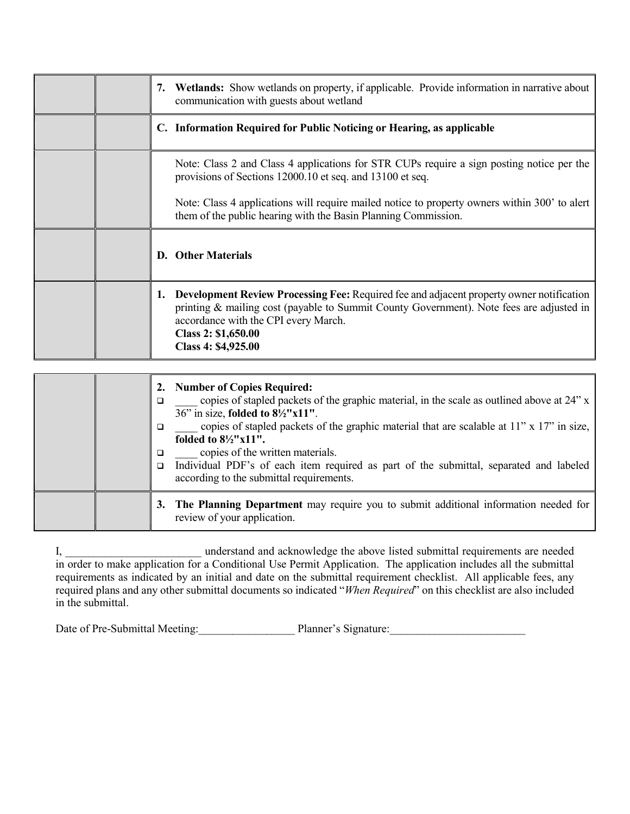|  | Wetlands: Show wetlands on property, if applicable. Provide information in narrative about<br>7.<br>communication with guests about wetland                                                                                                                                                                                                                                                                                                                                 |
|--|-----------------------------------------------------------------------------------------------------------------------------------------------------------------------------------------------------------------------------------------------------------------------------------------------------------------------------------------------------------------------------------------------------------------------------------------------------------------------------|
|  | C. Information Required for Public Noticing or Hearing, as applicable                                                                                                                                                                                                                                                                                                                                                                                                       |
|  | Note: Class 2 and Class 4 applications for STR CUPs require a sign posting notice per the<br>provisions of Sections 12000.10 et seq. and 13100 et seq.                                                                                                                                                                                                                                                                                                                      |
|  | Note: Class 4 applications will require mailed notice to property owners within 300' to alert<br>them of the public hearing with the Basin Planning Commission.                                                                                                                                                                                                                                                                                                             |
|  | D. Other Materials                                                                                                                                                                                                                                                                                                                                                                                                                                                          |
|  | Development Review Processing Fee: Required fee and adjacent property owner notification<br>1.<br>printing & mailing cost (payable to Summit County Government). Note fees are adjusted in<br>accordance with the CPI every March.<br>Class 2: \$1,650.00<br>Class 4: \$4,925.00                                                                                                                                                                                            |
|  |                                                                                                                                                                                                                                                                                                                                                                                                                                                                             |
|  | <b>Number of Copies Required:</b><br>2.<br>copies of stapled packets of the graphic material, in the scale as outlined above at 24" x<br>$\Box$<br>36" in size, folded to 81/2"x11".<br>copies of stapled packets of the graphic material that are scalable at 11" x 17" in size,<br>$\Box$<br>folded to $8\frac{1}{2}$ "x11".<br>copies of the written materials.<br>❏<br>Individual PDF's of each item required as part of the submittal, separated and labeled<br>$\Box$ |
|  | according to the submittal requirements.                                                                                                                                                                                                                                                                                                                                                                                                                                    |

**3. The Planning Department** may require you to submit additional information needed for review of your application.

I, \_\_\_\_\_\_\_\_\_\_\_\_\_\_\_\_\_\_\_\_\_\_\_\_ understand and acknowledge the above listed submittal requirements are needed in order to make application for a Conditional Use Permit Application. The application includes all the submittal requirements as indicated by an initial and date on the submittal requirement checklist. All applicable fees, any required plans and any other submittal documents so indicated "*When Required*" on this checklist are also included in the submittal.

Date of Pre-Submittal Meeting: <br>Planner's Signature: